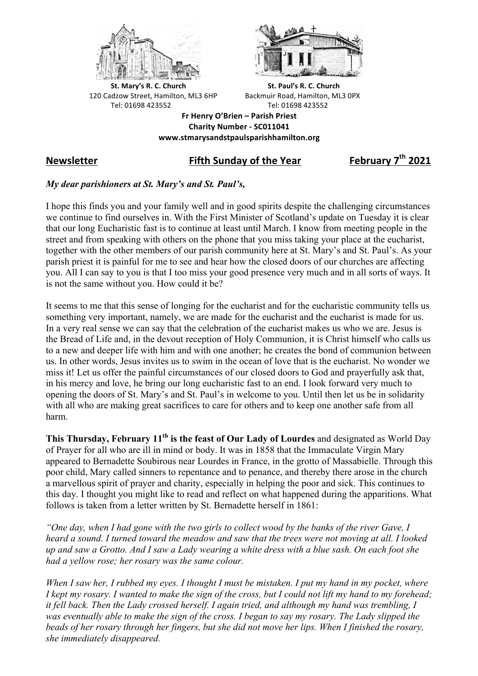



**St.** Mary's R. C. Church St. Paul's R. C. Church 120 Cadzow Street, Hamilton, ML3 6HP Backmuir Road, Hamilton, ML3 0PX Tel: 01698 423552 Tel: 01698 423552

**Fr Henry O'Brien – Parish Priest Charity Number - SC011041 www.stmarysandstpaulsparishhamilton.org**

## **Newsletter Fifth Sunday of the Year February 7th 2021**

## *My dear parishioners at St. Mary's and St. Paul's,*

I hope this finds you and your family well and in good spirits despite the challenging circumstances we continue to find ourselves in. With the First Minister of Scotland's update on Tuesday it is clear that our long Eucharistic fast is to continue at least until March. I know from meeting people in the street and from speaking with others on the phone that you miss taking your place at the eucharist, together with the other members of our parish community here at St. Mary's and St. Paul's. As your parish priest it is painful for me to see and hear how the closed doors of our churches are affecting you. All I can say to you is that I too miss your good presence very much and in all sorts of ways. It is not the same without you. How could it be?

It seems to me that this sense of longing for the eucharist and for the eucharistic community tells us something very important, namely, we are made for the eucharist and the eucharist is made for us. In a very real sense we can say that the celebration of the eucharist makes us who we are. Jesus is the Bread of Life and, in the devout reception of Holy Communion, it is Christ himself who calls us to a new and deeper life with him and with one another; he creates the bond of communion between us. In other words, Jesus invites us to swim in the ocean of love that is the eucharist. No wonder we miss it! Let us offer the painful circumstances of our closed doors to God and prayerfully ask that, in his mercy and love, he bring our long eucharistic fast to an end. I look forward very much to opening the doors of St. Mary's and St. Paul's in welcome to you. Until then let us be in solidarity with all who are making great sacrifices to care for others and to keep one another safe from all harm.

**This Thursday, February 11th is the feast of Our Lady of Lourdes** and designated as World Day of Prayer for all who are ill in mind or body. It was in 1858 that the Immaculate Virgin Mary appeared to Bernadette Soubirous near Lourdes in France, in the grotto of Massabielle. Through this poor child, Mary called sinners to repentance and to penance, and thereby there arose in the church a marvellous spirit of prayer and charity, especially in helping the poor and sick. This continues to this day. I thought you might like to read and reflect on what happened during the apparitions. What follows is taken from a letter written by St. Bernadette herself in 1861:

*"One day, when I had gone with the two girls to collect wood by the banks of the river Gave, I heard a sound. I turned toward the meadow and saw that the trees were not moving at all. I looked up and saw a Grotto. And I saw a Lady wearing a white dress with a blue sash. On each foot she had a yellow rose; her rosary was the same colour.*

*When I saw her, I rubbed my eyes. I thought I must be mistaken. I put my hand in my pocket, where I kept my rosary. I wanted to make the sign of the cross, but I could not lift my hand to my forehead; it fell back. Then the Lady crossed herself. I again tried, and although my hand was trembling, I was eventually able to make the sign of the cross. I began to say my rosary. The Lady slipped the beads of her rosary through her fingers, but she did not move her lips. When I finished the rosary, she immediately disappeared.*